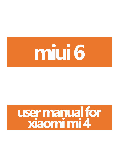

# **user manual for xiaomi mi 4**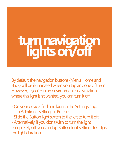# **turn navigation lights on/off**

By default, the navigation buttons (Menu, Home and Back) will be illuminated when you tap any one of them. However, if you're in an environment or a situation where this light isn't wanted, you can turn it off.

- On your device, find and launch the Settings app.
- Tap Additional settings > Buttons
- Slide the Button light switch to the left to turn it off.

- Alternatively, if you don't wish to turn the light completely off, you can tap Button light settings to adjust the light duration.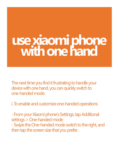# **use xiaomi phone with one hand**

The next time you find it frustrating to handle your device with one hand, you can quickly switch to one-handed mode.

i. To enable and customize one-handed operations

- From your Xiaomi phone's Settings, tap Additional settings > One-handed mode - Swipe the One-handed mode switch to the right, and then tap the screen size that you prefer.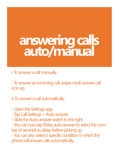# **answering calls auto/manual**

i. To answer a call manually

- To answer an incoming call, swipe miui6 answer call icon up.

ii. To answer a call automatically

- Open the Settings app.
- Tap Call Settings > Auto-answer.
- Slide the Auto-answer switch to the right.

- You can now tap Delay auto-answer to select the number of seconds to delay before picking up.

- You can also select a specific condition in which the phone will answer calls automatically.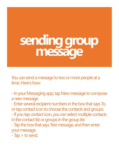**sending group message**

You can send a message to two or more people at a time. Here's how:

- In your Messaging app, tap New message to compose a new message.

- Enter several recipient numbers in the box that says To, or tap contact icon to choose the contacts and groups. - If you tap contact icon, you can select multiple contacts in the contact list or groups in the group list. - Tap the box that says Text message, and then enter your message.

- Tap > to send.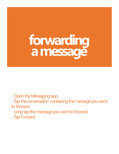**forwarding a message**

- Open the Messaging app.

- Tap the conversation containing the message you want to forward.

- Long tap the message you want to forward.

- Tap Forward.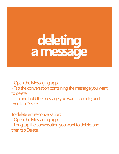# **deleting a message**

- Open the Messaging app.

- Tap the conversation containing the message you want to delete.

- Tap and hold the message you want to delete, and then tap Delete.

To delete entire conversation: - Open the Messaging app. - Long tap the conversation you want to delete, and then tap Delete.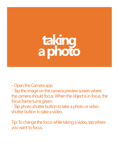## **taking a photo**

- Open the Camera app.

- Tap the image on the camera preview screen where the camera should focus. When the object is in focus, the focus frame turns green.

- Tap photo shutter button to take a photo or video shutter button to take a video.

Tip: To change the focus while taking a video, tap where you want to focus.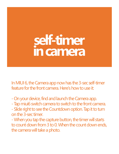#### **self-timer in camera**

In MIUI 6, the Camera app now has the 3-sec self-timer feature for the front camera. Here's how to use it:

- On your device, find and launch the Camera app.
- Tap miui6 switch camera to switch to the front camera.
- Slide right to see the Countdown option. Tap it to turn on the 3-sec timer.
- When you tap the capture button, the timer will starts to count down from 3 to 0. When the count down ends, the camera will take a photo.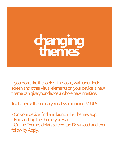#### **changing themes**

If you don't like the look of the icons, wallpaper, lock screen and other visual elements on your device, a new theme can give your device a whole new interface.

To change a theme on your device running MIUI 6

- On your device, find and launch the Themes app.
- Find and tap the theme you want.

- On the Themes details screen, tap Download and then follow by Apply.